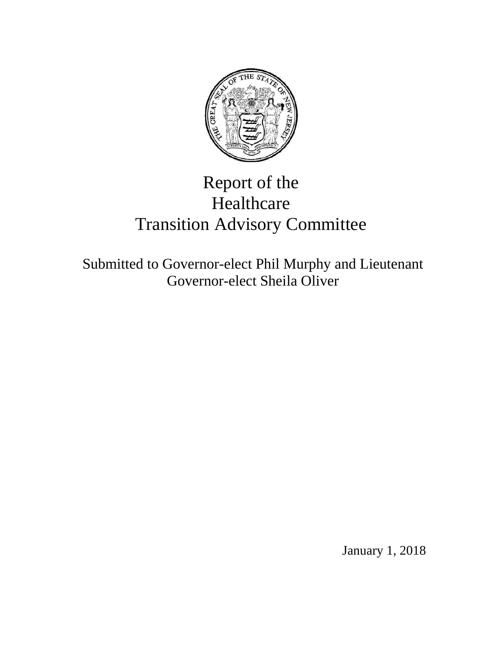

# Report of the Healthcare Transition Advisory Committee

Submitted to Governor-elect Phil Murphy and Lieutenant Governor-elect Sheila Oliver

January 1, 2018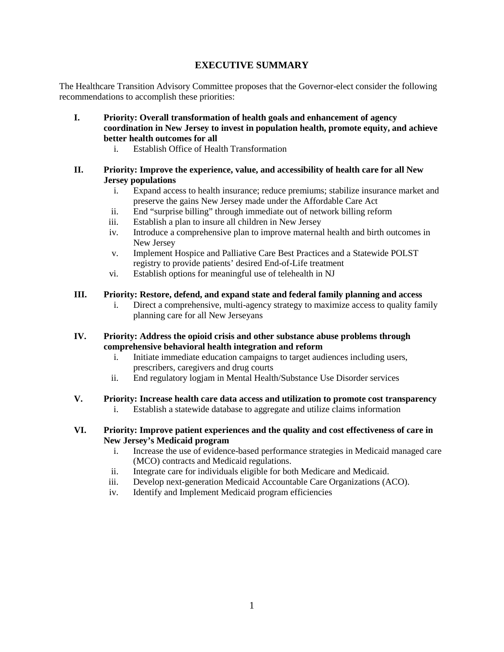## **EXECUTIVE SUMMARY**

The Healthcare Transition Advisory Committee proposes that the Governor-elect consider the following recommendations to accomplish these priorities:

- **I. Priority: Overall transformation of health goals and enhancement of agency coordination in New Jersey to invest in population health, promote equity, and achieve better health outcomes for all**
	- i. Establish Office of Health Transformation
- **II. Priority: Improve the experience, value, and accessibility of health care for all New Jersey populations**
	- i. Expand access to health insurance; reduce premiums; stabilize insurance market and preserve the gains New Jersey made under the Affordable Care Act
	- ii. End "surprise billing" through immediate out of network billing reform
	- iii. Establish a plan to insure all children in New Jersey
	- iv. Introduce a comprehensive plan to improve maternal health and birth outcomes in New Jersey
	- v. Implement Hospice and Palliative Care Best Practices and a Statewide POLST registry to provide patients' desired End-of-Life treatment
	- vi. Establish options for meaningful use of telehealth in NJ

## **III. Priority: Restore, defend, and expand state and federal family planning and access**

i. Direct a comprehensive, multi-agency strategy to maximize access to quality family planning care for all New Jerseyans

## **IV. Priority: Address the opioid crisis and other substance abuse problems through comprehensive behavioral health integration and reform**

- i. Initiate immediate education campaigns to target audiences including users, prescribers, caregivers and drug courts
- ii. End regulatory logjam in Mental Health/Substance Use Disorder services

# **V. Priority: Increase health care data access and utilization to promote cost transparency**

- i. Establish a statewide database to aggregate and utilize claims information
- **VI. Priority: Improve patient experiences and the quality and cost effectiveness of care in New Jersey's Medicaid program**
	- i. Increase the use of evidence-based performance strategies in Medicaid managed care (MCO) contracts and Medicaid regulations.
	- ii. Integrate care for individuals eligible for both Medicare and Medicaid.
	- iii. Develop next-generation Medicaid Accountable Care Organizations (ACO).
	- iv. Identify and Implement Medicaid program efficiencies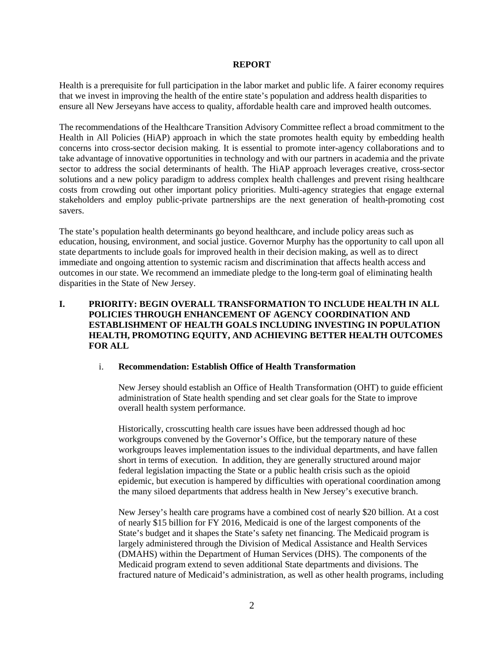#### **REPORT**

Health is a prerequisite for full participation in the labor market and public life. A fairer economy requires that we invest in improving the health of the entire state's population and address health disparities to ensure all New Jerseyans have access to quality, affordable health care and improved health outcomes.

The recommendations of the Healthcare Transition Advisory Committee reflect a broad commitment to the Health in All Policies (HiAP) approach in which the state promotes health equity by embedding health concerns into cross-sector decision making. It is essential to promote inter-agency collaborations and to take advantage of innovative opportunities in technology and with our partners in academia and the private sector to address the social determinants of health. The HiAP approach leverages creative, cross-sector solutions and a new policy paradigm to address complex health challenges and prevent rising healthcare costs from crowding out other important policy priorities. Multi-agency strategies that engage external stakeholders and employ public-private partnerships are the next generation of health-promoting cost savers.

The state's population health determinants go beyond healthcare, and include policy areas such as education, housing, environment, and social justice. Governor Murphy has the opportunity to call upon all state departments to include goals for improved health in their decision making, as well as to direct immediate and ongoing attention to systemic racism and discrimination that affects health access and outcomes in our state. We recommend an immediate pledge to the long-term goal of eliminating health disparities in the State of New Jersey.

## **I. PRIORITY: BEGIN OVERALL TRANSFORMATION TO INCLUDE HEALTH IN ALL POLICIES THROUGH ENHANCEMENT OF AGENCY COORDINATION AND ESTABLISHMENT OF HEALTH GOALS INCLUDING INVESTING IN POPULATION HEALTH, PROMOTING EQUITY, AND ACHIEVING BETTER HEALTH OUTCOMES FOR ALL**

#### i. **Recommendation: Establish Office of Health Transformation**

New Jersey should establish an Office of Health Transformation (OHT) to guide efficient administration of State health spending and set clear goals for the State to improve overall health system performance.

Historically, crosscutting health care issues have been addressed though ad hoc workgroups convened by the Governor's Office, but the temporary nature of these workgroups leaves implementation issues to the individual departments, and have fallen short in terms of execution. In addition, they are generally structured around major federal legislation impacting the State or a public health crisis such as the opioid epidemic, but execution is hampered by difficulties with operational coordination among the many siloed departments that address health in New Jersey's executive branch.

New Jersey's health care programs have a combined cost of nearly \$20 billion. At a cost of nearly \$15 billion for FY 2016, Medicaid is one of the largest components of the State's budget and it shapes the State's safety net financing. The Medicaid program is largely administered through the Division of Medical Assistance and Health Services (DMAHS) within the Department of Human Services (DHS). The components of the Medicaid program extend to seven additional State departments and divisions. The fractured nature of Medicaid's administration, as well as other health programs, including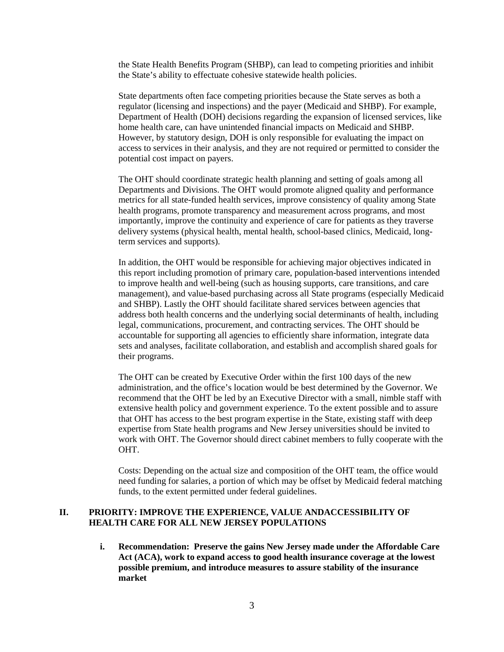the State Health Benefits Program (SHBP), can lead to competing priorities and inhibit the State's ability to effectuate cohesive statewide health policies.

State departments often face competing priorities because the State serves as both a regulator (licensing and inspections) and the payer (Medicaid and SHBP). For example, Department of Health (DOH) decisions regarding the expansion of licensed services, like home health care, can have unintended financial impacts on Medicaid and SHBP. However, by statutory design, DOH is only responsible for evaluating the impact on access to services in their analysis, and they are not required or permitted to consider the potential cost impact on payers.

The OHT should coordinate strategic health planning and setting of goals among all Departments and Divisions. The OHT would promote aligned quality and performance metrics for all state-funded health services, improve consistency of quality among State health programs, promote transparency and measurement across programs, and most importantly, improve the continuity and experience of care for patients as they traverse delivery systems (physical health, mental health, school-based clinics, Medicaid, longterm services and supports).

In addition, the OHT would be responsible for achieving major objectives indicated in this report including promotion of primary care, population-based interventions intended to improve health and well-being (such as housing supports, care transitions, and care management), and value-based purchasing across all State programs (especially Medicaid and SHBP). Lastly the OHT should facilitate shared services between agencies that address both health concerns and the underlying social determinants of health, including legal, communications, procurement, and contracting services. The OHT should be accountable for supporting all agencies to efficiently share information, integrate data sets and analyses, facilitate collaboration, and establish and accomplish shared goals for their programs.

The OHT can be created by Executive Order within the first 100 days of the new administration, and the office's location would be best determined by the Governor. We recommend that the OHT be led by an Executive Director with a small, nimble staff with extensive health policy and government experience. To the extent possible and to assure that OHT has access to the best program expertise in the State, existing staff with deep expertise from State health programs and New Jersey universities should be invited to work with OHT. The Governor should direct cabinet members to fully cooperate with the OHT.

Costs: Depending on the actual size and composition of the OHT team, the office would need funding for salaries, a portion of which may be offset by Medicaid federal matching funds, to the extent permitted under federal guidelines.

## **II. PRIORITY: IMPROVE THE EXPERIENCE, VALUE ANDACCESSIBILITY OF HEALTH CARE FOR ALL NEW JERSEY POPULATIONS**

**i. Recommendation: Preserve the gains New Jersey made under the Affordable Care Act (ACA), work to expand access to good health insurance coverage at the lowest possible premium, and introduce measures to assure stability of the insurance market**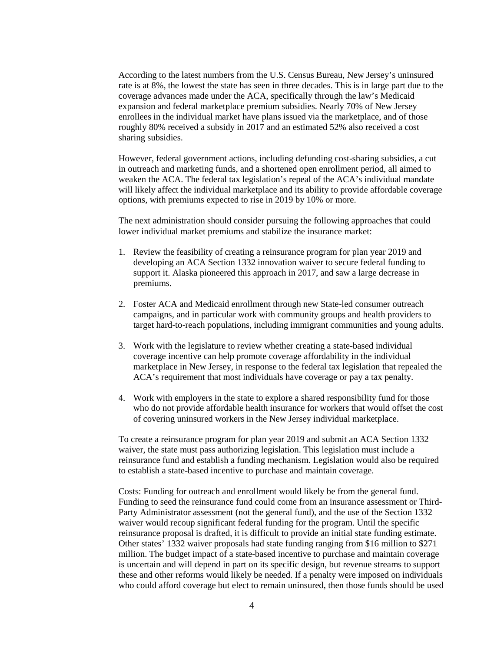According to the latest numbers from the U.S. Census Bureau, New Jersey's uninsured rate is at 8%, the lowest the state has seen in three decades. This is in large part due to the coverage advances made under the ACA, specifically through the law's Medicaid expansion and federal marketplace premium subsidies. Nearly 70% of New Jersey enrollees in the individual market have plans issued via the marketplace, and of those roughly 80% received a subsidy in 2017 and an estimated 52% also received a cost sharing subsidies.

However, federal government actions, including defunding cost-sharing subsidies, a cut in outreach and marketing funds, and a shortened open enrollment period, all aimed to weaken the ACA. The federal tax legislation's repeal of the ACA's individual mandate will likely affect the individual marketplace and its ability to provide affordable coverage options, with premiums expected to rise in 2019 by 10% or more.

The next administration should consider pursuing the following approaches that could lower individual market premiums and stabilize the insurance market:

- 1. Review the feasibility of creating a reinsurance program for plan year 2019 and developing an ACA Section 1332 innovation waiver to secure federal funding to support it. Alaska pioneered this approach in 2017, and saw a large decrease in premiums.
- 2. Foster ACA and Medicaid enrollment through new State-led consumer outreach campaigns, and in particular work with community groups and health providers to target hard-to-reach populations, including immigrant communities and young adults.
- 3. Work with the legislature to review whether creating a state-based individual coverage incentive can help promote coverage affordability in the individual marketplace in New Jersey, in response to the federal tax legislation that repealed the ACA's requirement that most individuals have coverage or pay a tax penalty.
- 4. Work with employers in the state to explore a shared responsibility fund for those who do not provide affordable health insurance for workers that would offset the cost of covering uninsured workers in the New Jersey individual marketplace.

To create a reinsurance program for plan year 2019 and submit an ACA Section 1332 waiver, the state must pass authorizing legislation. This legislation must include a reinsurance fund and establish a funding mechanism. Legislation would also be required to establish a state-based incentive to purchase and maintain coverage.

Costs: Funding for outreach and enrollment would likely be from the general fund. Funding to seed the reinsurance fund could come from an insurance assessment or Third-Party Administrator assessment (not the general fund), and the use of the Section 1332 waiver would recoup significant federal funding for the program. Until the specific reinsurance proposal is drafted, it is difficult to provide an initial state funding estimate. Other states' 1332 waiver proposals had state funding ranging from \$16 million to \$271 million. The budget impact of a state-based incentive to purchase and maintain coverage is uncertain and will depend in part on its specific design, but revenue streams to support these and other reforms would likely be needed. If a penalty were imposed on individuals who could afford coverage but elect to remain uninsured, then those funds should be used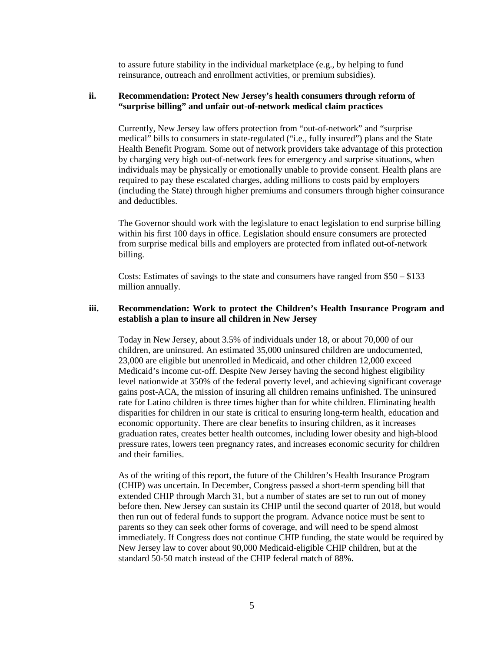to assure future stability in the individual marketplace (e.g., by helping to fund reinsurance, outreach and enrollment activities, or premium subsidies).

#### **ii. Recommendation: Protect New Jersey's health consumers through reform of "surprise billing" and unfair out-of-network medical claim practices**

Currently, New Jersey law offers protection from "out-of-network" and "surprise medical" bills to consumers in state-regulated ("i.e., fully insured") plans and the State Health Benefit Program. Some out of network providers take advantage of this protection by charging very high out-of-network fees for emergency and surprise situations, when individuals may be physically or emotionally unable to provide consent. Health plans are required to pay these escalated charges, adding millions to costs paid by employers (including the State) through higher premiums and consumers through higher coinsurance and deductibles.

The Governor should work with the legislature to enact legislation to end surprise billing within his first 100 days in office. Legislation should ensure consumers are protected from surprise medical bills and employers are protected from inflated out-of-network billing.

Costs: Estimates of savings to the state and consumers have ranged from \$50 – \$133 million annually.

#### **iii. Recommendation: Work to protect the Children's Health Insurance Program and establish a plan to insure all children in New Jersey**

Today in New Jersey, about 3.5% of individuals under 18, or about 70,000 of our children, are uninsured. An estimated 35,000 uninsured children are undocumented, 23,000 are eligible but unenrolled in Medicaid, and other children 12,000 exceed Medicaid's income cut-off. Despite New Jersey having the second highest eligibility level nationwide at 350% of the federal poverty level, and achieving significant coverage gains post-ACA, the mission of insuring all children remains unfinished. The uninsured rate for Latino children is three times higher than for white children. Eliminating health disparities for children in our state is critical to ensuring long-term health, education and economic opportunity. There are clear benefits to insuring children, as it increases graduation rates, creates better health outcomes, including lower obesity and high-blood pressure rates, lowers teen pregnancy rates, and increases economic security for children and their families.

As of the writing of this report, the future of the Children's Health Insurance Program (CHIP) was uncertain. In December, Congress passed a short-term spending bill that extended CHIP through March 31, but a number of states are set to run out of money before then. New Jersey can sustain its CHIP until the second quarter of 2018, but would then run out of federal funds to support the program. Advance notice must be sent to parents so they can seek other forms of coverage, and will need to be spend almost immediately. If Congress does not continue CHIP funding, the state would be required by New Jersey law to cover about 90,000 Medicaid-eligible CHIP children, but at the standard 50-50 match instead of the CHIP federal match of 88%.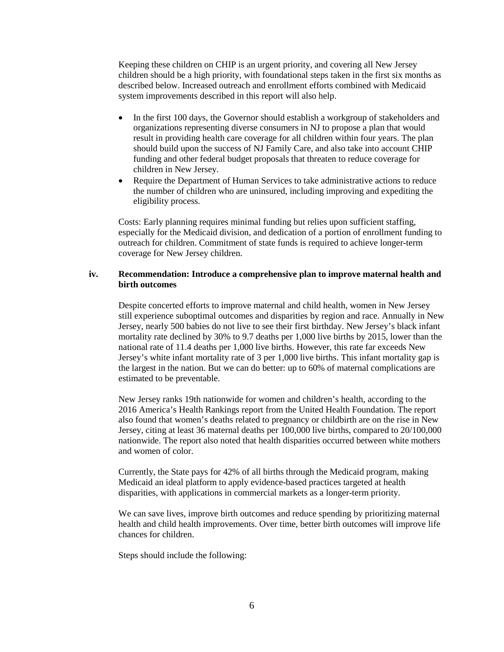Keeping these children on CHIP is an urgent priority, and covering all New Jersey children should be a high priority, with foundational steps taken in the first six months as described below. Increased outreach and enrollment efforts combined with Medicaid system improvements described in this report will also help.

- In the first 100 days, the Governor should establish a workgroup of stakeholders and organizations representing diverse consumers in NJ to propose a plan that would result in providing health care coverage for all children within four years. The plan should build upon the success of NJ Family Care, and also take into account CHIP funding and other federal budget proposals that threaten to reduce coverage for children in New Jersey.
- Require the Department of Human Services to take administrative actions to reduce the number of children who are uninsured, including improving and expediting the eligibility process.

Costs: Early planning requires minimal funding but relies upon sufficient staffing, especially for the Medicaid division, and dedication of a portion of enrollment funding to outreach for children. Commitment of state funds is required to achieve longer-term coverage for New Jersey children.

#### **iv. Recommendation: Introduce a comprehensive plan to improve maternal health and birth outcomes**

Despite concerted efforts to improve maternal and child health, women in New Jersey still experience suboptimal outcomes and disparities by region and race. Annually in New Jersey, nearly 500 babies do not live to see their first birthday. New Jersey's black infant mortality rate declined by 30% to 9.7 deaths per 1,000 live births by 2015, lower than the national rate of 11.4 deaths per 1,000 live births. However, this rate far exceeds New Jersey's white infant mortality rate of 3 per 1,000 live births. This infant mortality gap is the largest in the nation. But we can do better: up to 60% of maternal complications are estimated to be preventable.

New Jersey ranks 19th nationwide for women and children's health, according to the 2016 America's Health Rankings report from the United Health Foundation. The report also found that women's deaths related to pregnancy or childbirth are on the rise in New Jersey, citing at least 36 maternal deaths per 100,000 live births, compared to 20/100,000 nationwide. The report also noted that health disparities occurred between white mothers and women of color.

Currently, the State pays for 42% of all births through the Medicaid program, making Medicaid an ideal platform to apply evidence-based practices targeted at health disparities, with applications in commercial markets as a longer-term priority.

We can save lives, improve birth outcomes and reduce spending by prioritizing maternal health and child health improvements. Over time, better birth outcomes will improve life chances for children.

Steps should include the following: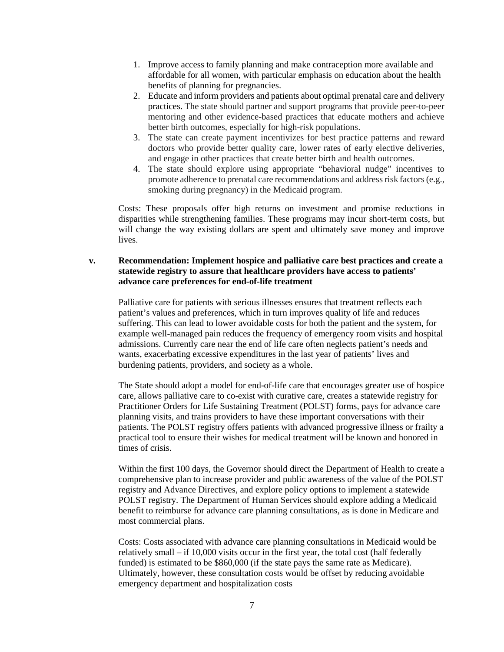- 1. Improve access to family planning and make contraception more available and affordable for all women, with particular emphasis on education about the health benefits of planning for pregnancies.
- 2. Educate and inform providers and patients about optimal prenatal care and delivery practices. The state should partner and support programs that provide peer-to-peer mentoring and other evidence-based practices that educate mothers and achieve better birth outcomes, especially for high-risk populations.
- 3. The state can create payment incentivizes for best practice patterns and reward doctors who provide better quality care, lower rates of early elective deliveries, and engage in other practices that create better birth and health outcomes.
- 4. The state should explore using appropriate "behavioral nudge" incentives to promote adherence to prenatal care recommendations and address risk factors (e.g., smoking during pregnancy) in the Medicaid program.

Costs: These proposals offer high returns on investment and promise reductions in disparities while strengthening families. These programs may incur short-term costs, but will change the way existing dollars are spent and ultimately save money and improve lives.

## **v. Recommendation: Implement hospice and palliative care best practices and create a statewide registry to assure that healthcare providers have access to patients' advance care preferences for end-of-life treatment**

Palliative care for patients with serious illnesses ensures that treatment reflects each patient's values and preferences, which in turn improves quality of life and reduces suffering. This can lead to lower avoidable costs for both the patient and the system, for example well-managed pain reduces the frequency of emergency room visits and hospital admissions. Currently care near the end of life care often neglects patient's needs and wants, exacerbating excessive expenditures in the last year of patients' lives and burdening patients, providers, and society as a whole.

The State should adopt a model for end-of-life care that encourages greater use of hospice care, allows palliative care to co-exist with curative care, creates a statewide registry for Practitioner Orders for Life Sustaining Treatment (POLST) forms, pays for advance care planning visits, and trains providers to have these important conversations with their patients. The POLST registry offers patients with advanced progressive illness or frailty a practical tool to ensure their wishes for medical treatment will be known and honored in times of crisis.

Within the first 100 days, the Governor should direct the Department of Health to create a comprehensive plan to increase provider and public awareness of the value of the POLST registry and Advance Directives, and explore policy options to implement a statewide POLST registry. The Department of Human Services should explore adding a Medicaid benefit to reimburse for advance care planning consultations, as is done in Medicare and most commercial plans.

Costs: Costs associated with advance care planning consultations in Medicaid would be relatively small – if 10,000 visits occur in the first year, the total cost (half federally funded) is estimated to be \$860,000 (if the state pays the same rate as Medicare). Ultimately, however, these consultation costs would be offset by reducing avoidable emergency department and hospitalization costs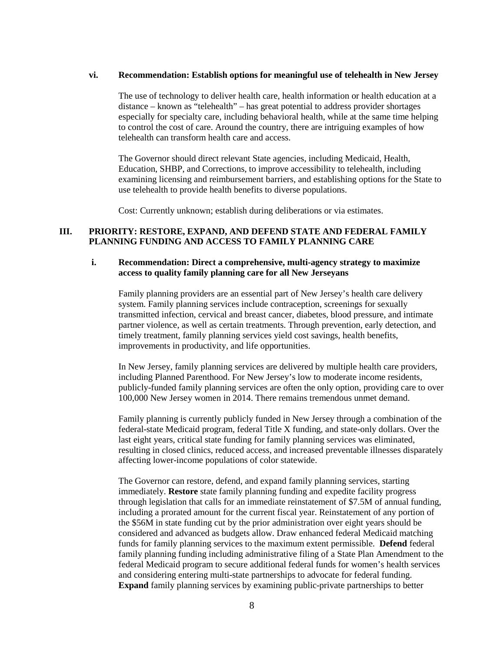#### **vi. Recommendation: Establish options for meaningful use of telehealth in New Jersey**

The use of technology to deliver health care, health information or health education at a distance – known as "telehealth" – has great potential to address provider shortages especially for specialty care, including behavioral health, while at the same time helping to control the cost of care. Around the country, there are intriguing examples of how telehealth can transform health care and access.

The Governor should direct relevant State agencies, including Medicaid, Health, Education, SHBP, and Corrections, to improve accessibility to telehealth, including examining licensing and reimbursement barriers, and establishing options for the State to use telehealth to provide health benefits to diverse populations.

Cost: Currently unknown; establish during deliberations or via estimates.

#### **III. PRIORITY: RESTORE, EXPAND, AND DEFEND STATE AND FEDERAL FAMILY PLANNING FUNDING AND ACCESS TO FAMILY PLANNING CARE**

#### **i. Recommendation: Direct a comprehensive, multi-agency strategy to maximize access to quality family planning care for all New Jerseyans**

Family planning providers are an essential part of New Jersey's health care delivery system. Family planning services include contraception, screenings for sexually transmitted infection, cervical and breast cancer, diabetes, blood pressure, and intimate partner violence, as well as certain treatments. Through prevention, early detection, and timely treatment, family planning services yield cost savings, health benefits, improvements in productivity, and life opportunities.

In New Jersey, family planning services are delivered by multiple health care providers, including Planned Parenthood. For New Jersey's low to moderate income residents, publicly-funded family planning services are often the only option, providing care to over 100,000 New Jersey women in 2014. There remains tremendous unmet demand.

Family planning is currently publicly funded in New Jersey through a combination of the federal-state Medicaid program, federal Title X funding, and state-only dollars. Over the last eight years, critical state funding for family planning services was eliminated, resulting in closed clinics, reduced access, and increased preventable illnesses disparately affecting lower-income populations of color statewide.

The Governor can restore, defend, and expand family planning services, starting immediately. **Restore** state family planning funding and expedite facility progress through legislation that calls for an immediate reinstatement of \$7.5M of annual funding, including a prorated amount for the current fiscal year. Reinstatement of any portion of the \$56M in state funding cut by the prior administration over eight years should be considered and advanced as budgets allow. Draw enhanced federal Medicaid matching funds for family planning services to the maximum extent permissible. **Defend** federal family planning funding including administrative filing of a State Plan Amendment to the federal Medicaid program to secure additional federal funds for women's health services and considering entering multi-state partnerships to advocate for federal funding. **Expand** family planning services by examining public-private partnerships to better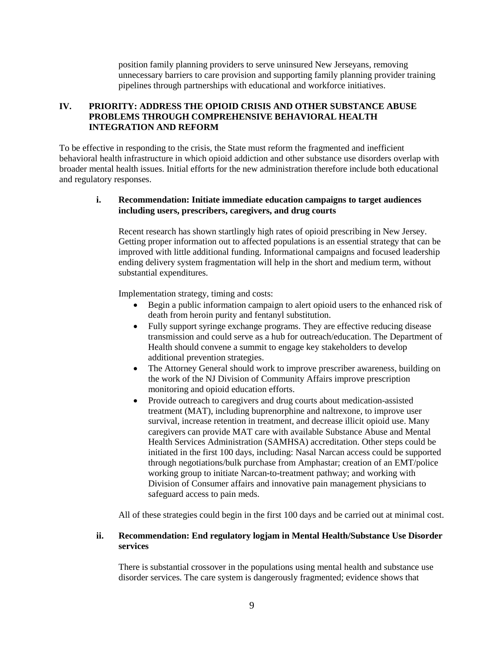position family planning providers to serve uninsured New Jerseyans, removing unnecessary barriers to care provision and supporting family planning provider training pipelines through partnerships with educational and workforce initiatives.

## **IV. PRIORITY: ADDRESS THE OPIOID CRISIS AND OTHER SUBSTANCE ABUSE PROBLEMS THROUGH COMPREHENSIVE BEHAVIORAL HEALTH INTEGRATION AND REFORM**

To be effective in responding to the crisis, the State must reform the fragmented and inefficient behavioral health infrastructure in which opioid addiction and other substance use disorders overlap with broader mental health issues. Initial efforts for the new administration therefore include both educational and regulatory responses.

## **i. Recommendation: Initiate immediate education campaigns to target audiences including users, prescribers, caregivers, and drug courts**

Recent research has shown startlingly high rates of opioid prescribing in New Jersey. Getting proper information out to affected populations is an essential strategy that can be improved with little additional funding. Informational campaigns and focused leadership ending delivery system fragmentation will help in the short and medium term, without substantial expenditures.

Implementation strategy, timing and costs:

- Begin a public information campaign to alert opioid users to the enhanced risk of death from heroin purity and fentanyl substitution.
- Fully support syringe exchange programs. They are effective reducing disease transmission and could serve as a hub for outreach/education. The Department of Health should convene a summit to engage key stakeholders to develop additional prevention strategies.
- The Attorney General should work to improve prescriber awareness, building on the work of the NJ Division of Community Affairs improve prescription monitoring and opioid education efforts.
- Provide outreach to caregivers and drug courts about medication-assisted treatment (MAT), including buprenorphine and naltrexone, to improve user survival, increase retention in treatment, and decrease illicit opioid use. Many caregivers can provide MAT care with available Substance Abuse and Mental Health Services Administration (SAMHSA) accreditation. Other steps could be initiated in the first 100 days, including: Nasal Narcan access could be supported through negotiations/bulk purchase from Amphastar; creation of an EMT/police working group to initiate Narcan-to-treatment pathway; and working with Division of Consumer affairs and innovative pain management physicians to safeguard access to pain meds.

All of these strategies could begin in the first 100 days and be carried out at minimal cost.

#### **ii. Recommendation: End regulatory logjam in Mental Health/Substance Use Disorder services**

There is substantial crossover in the populations using mental health and substance use disorder services. The care system is dangerously fragmented; evidence shows that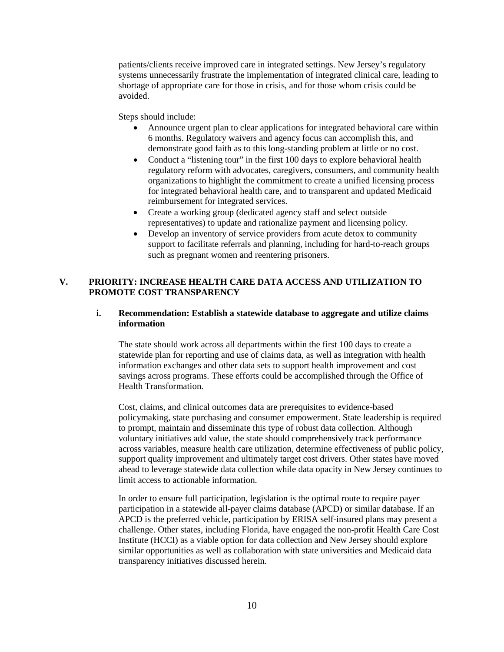patients/clients receive improved care in integrated settings. New Jersey's regulatory systems unnecessarily frustrate the implementation of integrated clinical care, leading to shortage of appropriate care for those in crisis, and for those whom crisis could be avoided.

Steps should include:

- Announce urgent plan to clear applications for integrated behavioral care within 6 months. Regulatory waivers and agency focus can accomplish this, and demonstrate good faith as to this long-standing problem at little or no cost.
- Conduct a "listening tour" in the first 100 days to explore behavioral health regulatory reform with advocates, caregivers, consumers, and community health organizations to highlight the commitment to create a unified licensing process for integrated behavioral health care, and to transparent and updated Medicaid reimbursement for integrated services.
- Create a working group (dedicated agency staff and select outside representatives) to update and rationalize payment and licensing policy.
- Develop an inventory of service providers from acute detox to community support to facilitate referrals and planning, including for hard-to-reach groups such as pregnant women and reentering prisoners.

## **V. PRIORITY: INCREASE HEALTH CARE DATA ACCESS AND UTILIZATION TO PROMOTE COST TRANSPARENCY**

## **i. Recommendation: Establish a statewide database to aggregate and utilize claims information**

The state should work across all departments within the first 100 days to create a statewide plan for reporting and use of claims data, as well as integration with health information exchanges and other data sets to support health improvement and cost savings across programs. These efforts could be accomplished through the Office of Health Transformation.

Cost, claims, and clinical outcomes data are prerequisites to evidence-based policymaking, state purchasing and consumer empowerment. State leadership is required to prompt, maintain and disseminate this type of robust data collection. Although voluntary initiatives add value, the state should comprehensively track performance across variables, measure health care utilization, determine effectiveness of public policy, support quality improvement and ultimately target cost drivers. Other states have moved ahead to leverage statewide data collection while data opacity in New Jersey continues to limit access to actionable information.

In order to ensure full participation, legislation is the optimal route to require payer participation in a statewide all-payer claims database (APCD) or similar database. If an APCD is the preferred vehicle, participation by ERISA self-insured plans may present a challenge. Other states, including Florida, have engaged the non-profit Health Care Cost Institute (HCCI) as a viable option for data collection and New Jersey should explore similar opportunities as well as collaboration with state universities and Medicaid data transparency initiatives discussed herein.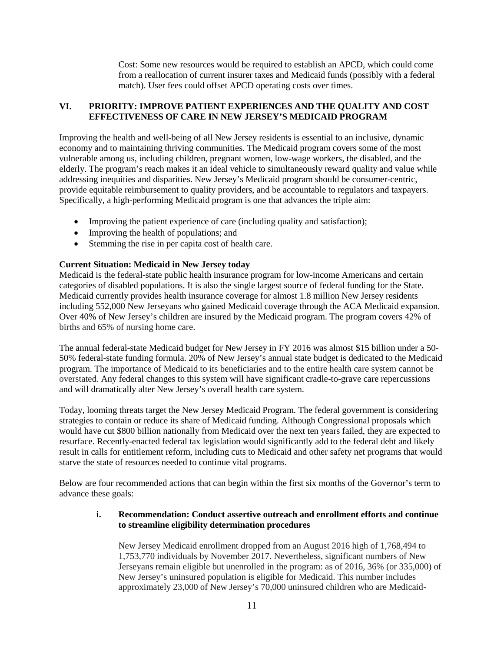Cost: Some new resources would be required to establish an APCD, which could come from a reallocation of current insurer taxes and Medicaid funds (possibly with a federal match). User fees could offset APCD operating costs over times.

## **VI. PRIORITY: IMPROVE PATIENT EXPERIENCES AND THE QUALITY AND COST EFFECTIVENESS OF CARE IN NEW JERSEY'S MEDICAID PROGRAM**

Improving the health and well-being of all New Jersey residents is essential to an inclusive, dynamic economy and to maintaining thriving communities. The Medicaid program covers some of the most vulnerable among us, including children, pregnant women, low-wage workers, the disabled, and the elderly. The program's reach makes it an ideal vehicle to simultaneously reward quality and value while addressing inequities and disparities. New Jersey's Medicaid program should be consumer-centric, provide equitable reimbursement to quality providers, and be accountable to regulators and taxpayers. Specifically, a high-performing Medicaid program is one that advances the triple aim:

- Improving the patient experience of care (including quality and satisfaction);
- Improving the health of populations; and
- Stemming the rise in per capita cost of health care.

## **Current Situation: Medicaid in New Jersey today**

Medicaid is the federal-state public health insurance program for low-income Americans and certain categories of disabled populations. It is also the single largest source of federal funding for the State. Medicaid currently provides health insurance coverage for almost 1.8 million New Jersey residents including 552,000 New Jerseyans who gained Medicaid coverage through the ACA Medicaid expansion. Over 40% of New Jersey's children are insured by the Medicaid program. The program covers 42% of births and 65% of nursing home care.

The annual federal-state Medicaid budget for New Jersey in FY 2016 was almost \$15 billion under a 50- 50% federal-state funding formula. 20% of New Jersey's annual state budget is dedicated to the Medicaid program. The importance of Medicaid to its beneficiaries and to the entire health care system cannot be overstated. Any federal changes to this system will have significant cradle-to-grave care repercussions and will dramatically alter New Jersey's overall health care system.

Today, looming threats target the New Jersey Medicaid Program. The federal government is considering strategies to contain or reduce its share of Medicaid funding. Although Congressional proposals which would have cut \$800 billion nationally from Medicaid over the next ten years failed, they are expected to resurface. Recently-enacted federal tax legislation would significantly add to the federal debt and likely result in calls for entitlement reform, including cuts to Medicaid and other safety net programs that would starve the state of resources needed to continue vital programs.

Below are four recommended actions that can begin within the first six months of the Governor's term to advance these goals:

## **i. Recommendation: Conduct assertive outreach and enrollment efforts and continue to streamline eligibility determination procedures**

New Jersey Medicaid enrollment dropped from an August 2016 high of 1,768,494 to 1,753,770 individuals by November 2017. Nevertheless, significant numbers of New Jerseyans remain eligible but unenrolled in the program: as of 2016, 36% (or 335,000) of New Jersey's uninsured population is eligible for Medicaid. This number includes approximately 23,000 of New Jersey's 70,000 uninsured children who are Medicaid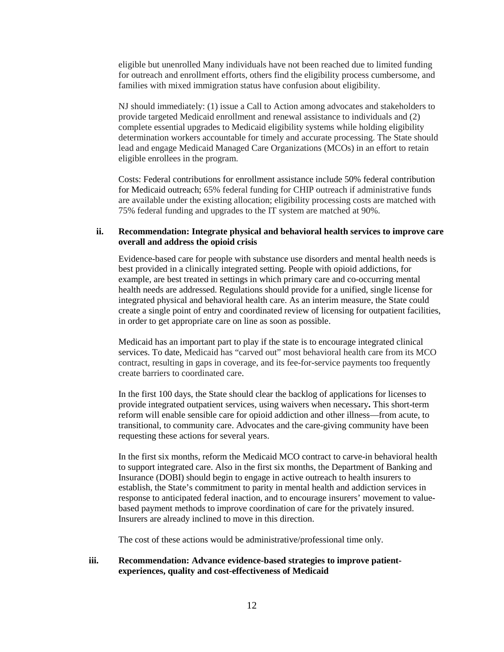eligible but unenrolled Many individuals have not been reached due to limited funding for outreach and enrollment efforts, others find the eligibility process cumbersome, and families with mixed immigration status have confusion about eligibility.

NJ should immediately: (1) issue a Call to Action among advocates and stakeholders to provide targeted Medicaid enrollment and renewal assistance to individuals and (2) complete essential upgrades to Medicaid eligibility systems while holding eligibility determination workers accountable for timely and accurate processing. The State should lead and engage Medicaid Managed Care Organizations (MCOs) in an effort to retain eligible enrollees in the program.

Costs: Federal contributions for enrollment assistance include 50% federal contribution for Medicaid outreach; 65% federal funding for CHIP outreach if administrative funds are available under the existing allocation; eligibility processing costs are matched with 75% federal funding and upgrades to the IT system are matched at 90%.

#### **ii. Recommendation: Integrate physical and behavioral health services to improve care overall and address the opioid crisis**

Evidence-based care for people with substance use disorders and mental health needs is best provided in a clinically integrated setting. People with opioid addictions, for example, are best treated in settings in which primary care and co-occurring mental health needs are addressed. Regulations should provide for a unified, single license for integrated physical and behavioral health care. As an interim measure, the State could create a single point of entry and coordinated review of licensing for outpatient facilities, in order to get appropriate care on line as soon as possible.

Medicaid has an important part to play if the state is to encourage integrated clinical services. To date, Medicaid has "carved out" most behavioral health care from its MCO contract, resulting in gaps in coverage, and its fee-for-service payments too frequently create barriers to coordinated care.

In the first 100 days, the State should clear the backlog of applications for licenses to provide integrated outpatient services, using waivers when necessary**.** This short-term reform will enable sensible care for opioid addiction and other illness—from acute, to transitional, to community care. Advocates and the care-giving community have been requesting these actions for several years.

In the first six months, reform the Medicaid MCO contract to carve-in behavioral health to support integrated care. Also in the first six months, the Department of Banking and Insurance (DOBI) should begin to engage in active outreach to health insurers to establish, the State's commitment to parity in mental health and addiction services in response to anticipated federal inaction, and to encourage insurers' movement to valuebased payment methods to improve coordination of care for the privately insured. Insurers are already inclined to move in this direction.

The cost of these actions would be administrative/professional time only.

## **iii. Recommendation: Advance evidence-based strategies to improve patientexperiences, quality and cost-effectiveness of Medicaid**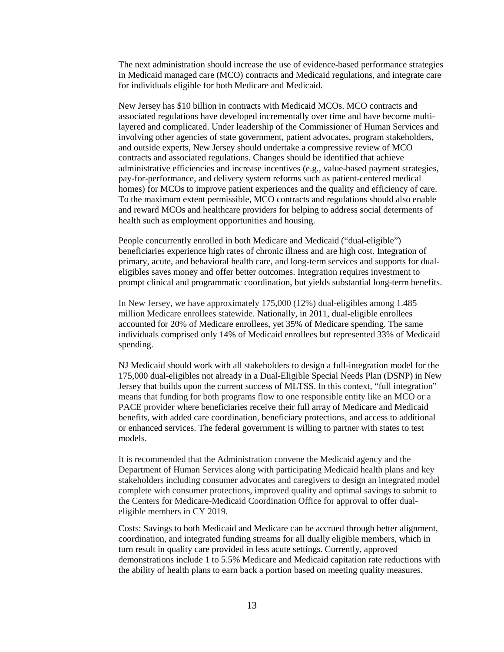The next administration should increase the use of evidence-based performance strategies in Medicaid managed care (MCO) contracts and Medicaid regulations, and integrate care for individuals eligible for both Medicare and Medicaid.

New Jersey has \$10 billion in contracts with Medicaid MCOs. MCO contracts and associated regulations have developed incrementally over time and have become multilayered and complicated. Under leadership of the Commissioner of Human Services and involving other agencies of state government, patient advocates, program stakeholders, and outside experts, New Jersey should undertake a compressive review of MCO contracts and associated regulations. Changes should be identified that achieve administrative efficiencies and increase incentives (e.g., value-based payment strategies, pay-for-performance, and delivery system reforms such as patient-centered medical homes) for MCOs to improve patient experiences and the quality and efficiency of care. To the maximum extent permissible, MCO contracts and regulations should also enable and reward MCOs and healthcare providers for helping to address social determents of health such as employment opportunities and housing.

People concurrently enrolled in both Medicare and Medicaid ("dual-eligible") beneficiaries experience high rates of chronic illness and are high cost. Integration of primary, acute, and behavioral health care, and long-term services and supports for dualeligibles saves money and offer better outcomes. Integration requires investment to prompt clinical and programmatic coordination, but yields substantial long-term benefits.

In New Jersey, we have approximately 175,000 (12%) dual-eligibles among 1.485 million Medicare enrollees statewide. Nationally, in 2011, dual-eligible enrollees accounted for 20% of Medicare enrollees, yet 35% of Medicare spending. The same individuals comprised only 14% of Medicaid enrollees but represented 33% of Medicaid spending.

NJ Medicaid should work with all stakeholders to design a full-integration model for the 175,000 dual-eligibles not already in a Dual-Eligible Special Needs Plan (DSNP) in New Jersey that builds upon the current success of MLTSS. In this context, "full integration" means that funding for both programs flow to one responsible entity like an MCO or a PACE provider where beneficiaries receive their full array of Medicare and Medicaid benefits, with added care coordination, beneficiary protections, and access to additional or enhanced services. The federal government is willing to partner with states to test models.

It is recommended that the Administration convene the Medicaid agency and the Department of Human Services along with participating Medicaid health plans and key stakeholders including consumer advocates and caregivers to design an integrated model complete with consumer protections, improved quality and optimal savings to submit to the Centers for Medicare-Medicaid Coordination Office for approval to offer dualeligible members in CY 2019.

Costs: Savings to both Medicaid and Medicare can be accrued through better alignment, coordination, and integrated funding streams for all dually eligible members, which in turn result in quality care provided in less acute settings. Currently, approved demonstrations include 1 to 5.5% Medicare and Medicaid capitation rate reductions with the ability of health plans to earn back a portion based on meeting quality measures.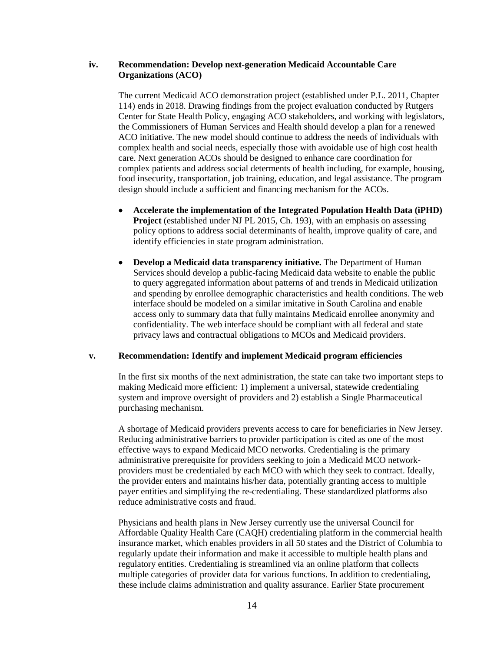### **iv. Recommendation: Develop next-generation Medicaid Accountable Care Organizations (ACO)**

The current Medicaid ACO demonstration project (established under P.L. 2011, Chapter 114) ends in 2018. Drawing findings from the project evaluation conducted by Rutgers Center for State Health Policy, engaging ACO stakeholders, and working with legislators, the Commissioners of Human Services and Health should develop a plan for a renewed ACO initiative. The new model should continue to address the needs of individuals with complex health and social needs, especially those with avoidable use of high cost health care. Next generation ACOs should be designed to enhance care coordination for complex patients and address social determents of health including, for example, housing, food insecurity, transportation, job training, education, and legal assistance. The program design should include a sufficient and financing mechanism for the ACOs.

- **Accelerate the implementation of the Integrated Population Health Data (iPHD) Project** (established under NJ PL 2015, Ch. 193), with an emphasis on assessing policy options to address social determinants of health, improve quality of care, and identify efficiencies in state program administration.
- **Develop a Medicaid data transparency initiative.** The Department of Human Services should develop a public-facing Medicaid data website to enable the public to query aggregated information about patterns of and trends in Medicaid utilization and spending by enrollee demographic characteristics and health conditions. The web interface should be modeled on a similar imitative in South Carolina and enable access only to summary data that fully maintains Medicaid enrollee anonymity and confidentiality. The web interface should be compliant with all federal and state privacy laws and contractual obligations to MCOs and Medicaid providers.

#### **v. Recommendation: Identify and implement Medicaid program efficiencies**

In the first six months of the next administration, the state can take two important steps to making Medicaid more efficient: 1) implement a universal, statewide credentialing system and improve oversight of providers and 2) establish a Single Pharmaceutical purchasing mechanism.

A shortage of Medicaid providers prevents access to care for beneficiaries in New Jersey. Reducing administrative barriers to provider participation is cited as one of the most effective ways to expand Medicaid MCO networks. Credentialing is the primary administrative prerequisite for providers seeking to join a Medicaid MCO networkproviders must be credentialed by each MCO with which they seek to contract. Ideally, the provider enters and maintains his/her data, potentially granting access to multiple payer entities and simplifying the re-credentialing. These standardized platforms also reduce administrative costs and fraud.

Physicians and health plans in New Jersey currently use the universal Council for Affordable Quality Health Care (CAQH) credentialing platform in the commercial health insurance market, which enables providers in all 50 states and the District of Columbia to regularly update their information and make it accessible to multiple health plans and regulatory entities. Credentialing is streamlined via an online platform that collects multiple categories of provider data for various functions. In addition to credentialing, these include claims administration and quality assurance. Earlier State procurement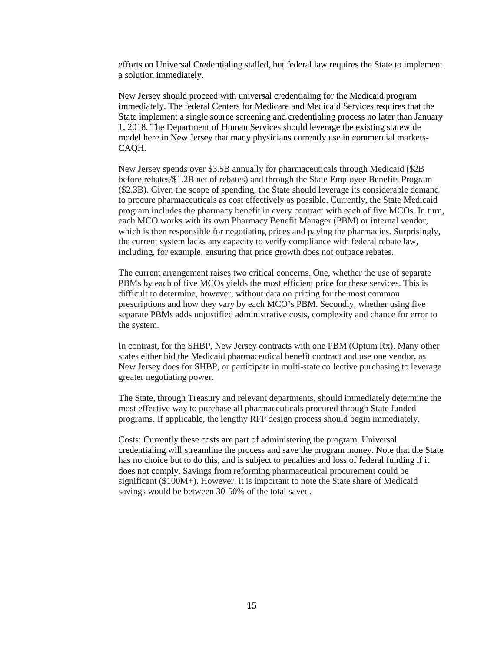efforts on Universal Credentialing stalled, but federal law requires the State to implement a solution immediately.

New Jersey should proceed with universal credentialing for the Medicaid program immediately. The federal Centers for Medicare and Medicaid Services requires that the State implement a single source screening and credentialing process no later than January 1, 2018. The Department of Human Services should leverage the existing statewide model here in New Jersey that many physicians currently use in commercial markets-CAQH.

New Jersey spends over \$3.5B annually for pharmaceuticals through Medicaid (\$2B before rebates/\$1.2B net of rebates) and through the State Employee Benefits Program (\$2.3B). Given the scope of spending, the State should leverage its considerable demand to procure pharmaceuticals as cost effectively as possible. Currently, the State Medicaid program includes the pharmacy benefit in every contract with each of five MCOs. In turn, each MCO works with its own Pharmacy Benefit Manager (PBM) or internal vendor, which is then responsible for negotiating prices and paying the pharmacies. Surprisingly, the current system lacks any capacity to verify compliance with federal rebate law, including, for example, ensuring that price growth does not outpace rebates.

The current arrangement raises two critical concerns. One, whether the use of separate PBMs by each of five MCOs yields the most efficient price for these services. This is difficult to determine, however, without data on pricing for the most common prescriptions and how they vary by each MCO's PBM. Secondly, whether using five separate PBMs adds unjustified administrative costs, complexity and chance for error to the system.

In contrast, for the SHBP, New Jersey contracts with one PBM (Optum Rx). Many other states either bid the Medicaid pharmaceutical benefit contract and use one vendor, as New Jersey does for SHBP, or participate in multi-state collective purchasing to leverage greater negotiating power.

The State, through Treasury and relevant departments, should immediately determine the most effective way to purchase all pharmaceuticals procured through State funded programs. If applicable, the lengthy RFP design process should begin immediately.

Costs: Currently these costs are part of administering the program. Universal credentialing will streamline the process and save the program money. Note that the State has no choice but to do this, and is subject to penalties and loss of federal funding if it does not comply. Savings from reforming pharmaceutical procurement could be significant (\$100M+). However, it is important to note the State share of Medicaid savings would be between 30-50% of the total saved.